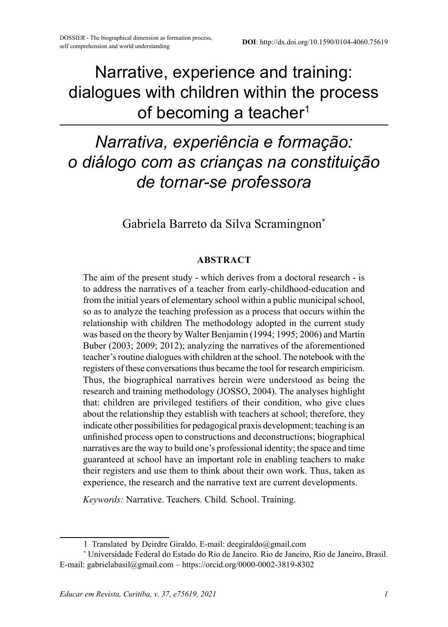Narrative, experience and training: dialogues with children within the process of becoming a teacher<sup>1</sup>

# *Narrativa, experiência e formação: o diálogo com as crianças na constituição de tornar-se professora*

Gabriela Barreto da Silva Scramingnon\*

#### **ABSTRACT**

The aim of the present study - which derives from a doctoral research - is to address the narratives of a teacher from early-childhood-education and from the initial years of elementary school within a public municipal school, so as to analyze the teaching profession as a process that occurs within the relationship with children The methodology adopted in the current study was based on the theory by Walter Benjamin (1994; 1995; 2006) and Martin Buber (2003; 2009; 2012); analyzing the narratives of the aforementioned teacher's routine dialogues with children at the school. The notebook with the registers of these conversations thus became the tool for research empiricism. Thus, the biographical narratives herein were understood as being the research and training methodology (JOSSO, 2004). The analyses highlight that: children are privileged testifiers of their condition, who give clues about the relationship they establish with teachers at school; therefore, they indicate other possibilities for pedagogical praxis development; teaching is an unfinished process open to constructions and deconstructions; biographical narratives are the way to build one's professional identity; the space and time guaranteed at school have an important role in enabling teachers to make their registers and use them to think about their own work. Thus, taken as experience, the research and the narrative text are current developments.

*Keywords:* Narrative. Teachers. Child. School. Training.

<sup>1</sup> Translated by Deirdre Giraldo. E-mail: [deegiraldo@gmail.com](mailto:deegiraldo@gmail.com)

<sup>\*</sup> Universidade Federal do Estado do Rio de Janeiro. Rio de Janeiro, Rio de Janeiro, Brasil. E-mail: gabrielabasil@gmail.com – https://orcid.org/0000-0002-3819-8302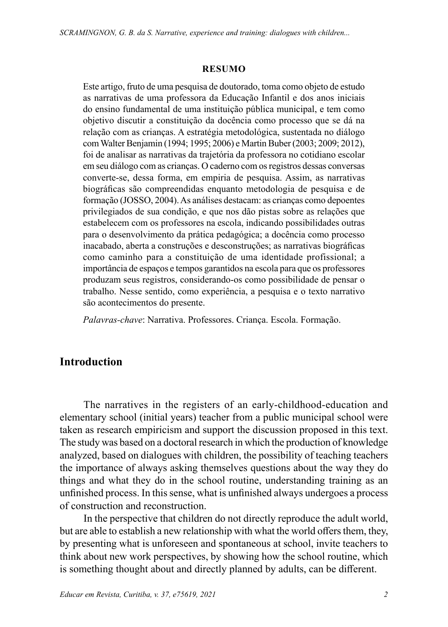#### **RESUMO**

Este artigo, fruto de uma pesquisa de doutorado, toma como objeto de estudo as narrativas de uma professora da Educação Infantil e dos anos iniciais do ensino fundamental de uma instituição pública municipal, e tem como objetivo discutir a constituição da docência como processo que se dá na relação com as crianças. A estratégia metodológica, sustentada no diálogo com Walter Benjamin (1994; 1995; 2006) e Martin Buber (2003; 2009; 2012), foi de analisar as narrativas da trajetória da professora no cotidiano escolar em seu diálogo com as crianças. O caderno com os registros dessas conversas converte-se, dessa forma, em empiria de pesquisa. Assim, as narrativas biográficas são compreendidas enquanto metodologia de pesquisa e de formação (JOSSO, 2004). As análises destacam: as crianças como depoentes privilegiados de sua condição, e que nos dão pistas sobre as relações que estabelecem com os professores na escola, indicando possibilidades outras para o desenvolvimento da prática pedagógica; a docência como processo inacabado, aberta a construções e desconstruções; as narrativas biográficas como caminho para a constituição de uma identidade profissional; a importância de espaços e tempos garantidos na escola para que os professores produzam seus registros, considerando-os como possibilidade de pensar o trabalho. Nesse sentido, como experiência, a pesquisa e o texto narrativo são acontecimentos do presente.

*Palavras-chave*: Narrativa. Professores. Criança. Escola. Formação.

#### **Introduction**

The narratives in the registers of an early-childhood-education and elementary school (initial years) teacher from a public municipal school were taken as research empiricism and support the discussion proposed in this text. The study was based on a doctoral research in which the production of knowledge analyzed, based on dialogues with children, the possibility of teaching teachers the importance of always asking themselves questions about the way they do things and what they do in the school routine, understanding training as an unfinished process. In this sense, what is unfinished always undergoes a process of construction and reconstruction.

In the perspective that children do not directly reproduce the adult world, but are able to establish a new relationship with what the world offers them, they, by presenting what is unforeseen and spontaneous at school, invite teachers to think about new work perspectives, by showing how the school routine, which is something thought about and directly planned by adults, can be different.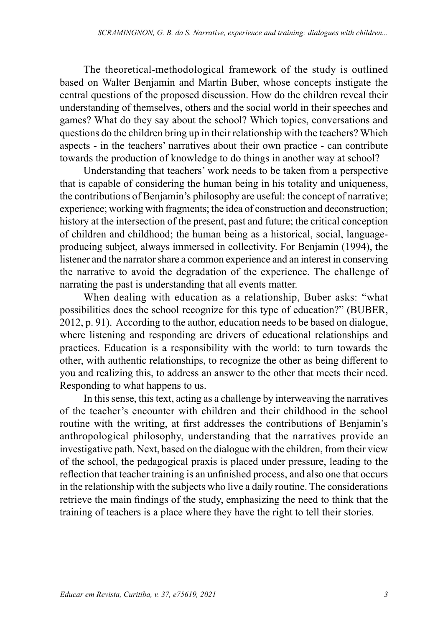The theoretical-methodological framework of the study is outlined based on Walter Benjamin and Martin Buber, whose concepts instigate the central questions of the proposed discussion. How do the children reveal their understanding of themselves, others and the social world in their speeches and games? What do they say about the school? Which topics, conversations and questions do the children bring up in their relationship with the teachers? Which aspects - in the teachers' narratives about their own practice - can contribute towards the production of knowledge to do things in another way at school?

Understanding that teachers' work needs to be taken from a perspective that is capable of considering the human being in his totality and uniqueness, the contributions of Benjamin's philosophy are useful: the concept of narrative; experience; working with fragments; the idea of construction and deconstruction; history at the intersection of the present, past and future; the critical conception of children and childhood; the human being as a historical, social, languageproducing subject, always immersed in collectivity. For Benjamin (1994), the listener and the narrator share a common experience and an interest in conserving the narrative to avoid the degradation of the experience. The challenge of narrating the past is understanding that all events matter.

When dealing with education as a relationship, Buber asks: "what possibilities does the school recognize for this type of education?" (BUBER, 2012, p. 91). According to the author, education needs to be based on dialogue, where listening and responding are drivers of educational relationships and practices. Education is a responsibility with the world: to turn towards the other, with authentic relationships, to recognize the other as being different to you and realizing this, to address an answer to the other that meets their need. Responding to what happens to us.

In this sense, this text, acting as a challenge by interweaving the narratives of the teacher's encounter with children and their childhood in the school routine with the writing, at first addresses the contributions of Benjamin's anthropological philosophy, understanding that the narratives provide an investigative path. Next, based on the dialogue with the children, from their view of the school, the pedagogical praxis is placed under pressure, leading to the reflection that teacher training is an unfinished process, and also one that occurs in the relationship with the subjects who live a daily routine. The considerations retrieve the main findings of the study, emphasizing the need to think that the training of teachers is a place where they have the right to tell their stories.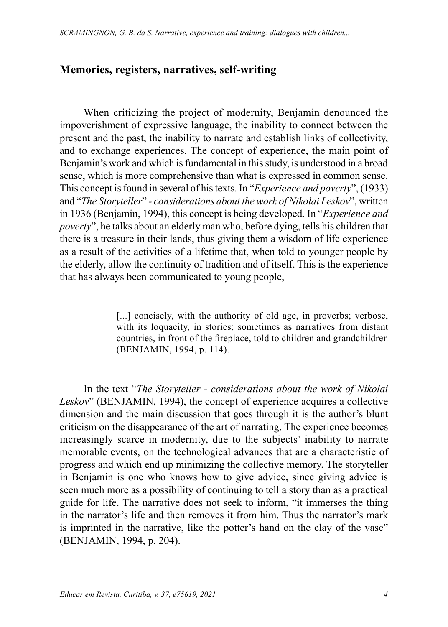# **Memories, registers, narratives, self-writing**

When criticizing the project of modernity, Benjamin denounced the impoverishment of expressive language, the inability to connect between the present and the past, the inability to narrate and establish links of collectivity, and to exchange experiences. The concept of experience, the main point of Benjamin's work and which is fundamental in this study, is understood in a broad sense, which is more comprehensive than what is expressed in common sense. This concept is found in several of his texts. In "*Experience and poverty*", (1933) and "*The Storyteller*" *- considerations about the work of Nikolai Leskov*", written in 1936 (Benjamin, 1994), this concept is being developed. In "*Experience and poverty*", he talks about an elderly man who, before dying, tells his children that there is a treasure in their lands, thus giving them a wisdom of life experience as a result of the activities of a lifetime that, when told to younger people by the elderly, allow the continuity of tradition and of itself. This is the experience that has always been communicated to young people,

> [...] concisely, with the authority of old age, in proverbs; verbose, with its loquacity, in stories; sometimes as narratives from distant countries, in front of the fireplace, told to children and grandchildren (BENJAMIN, 1994, p. 114).

In the text "*The Storyteller - considerations about the work of Nikolai Leskov*" (BENJAMIN, 1994), the concept of experience acquires a collective dimension and the main discussion that goes through it is the author's blunt criticism on the disappearance of the art of narrating. The experience becomes increasingly scarce in modernity, due to the subjects' inability to narrate memorable events, on the technological advances that are a characteristic of progress and which end up minimizing the collective memory. The storyteller in Benjamin is one who knows how to give advice, since giving advice is seen much more as a possibility of continuing to tell a story than as a practical guide for life. The narrative does not seek to inform, "it immerses the thing in the narrator's life and then removes it from him. Thus the narrator's mark is imprinted in the narrative, like the potter's hand on the clay of the vase" (BENJAMIN, 1994, p. 204).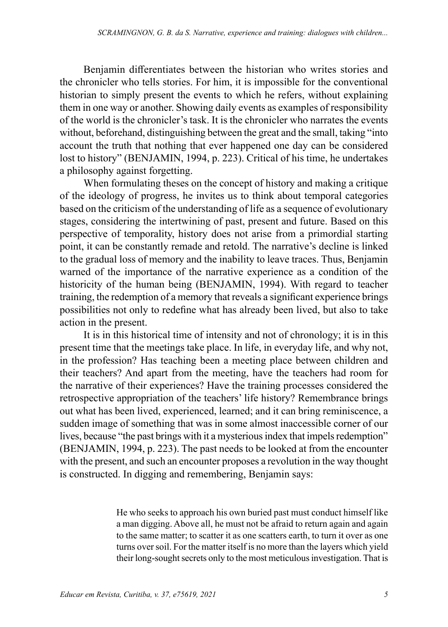Benjamin differentiates between the historian who writes stories and the chronicler who tells stories. For him, it is impossible for the conventional historian to simply present the events to which he refers, without explaining them in one way or another. Showing daily events as examples of responsibility of the world is the chronicler's task. It is the chronicler who narrates the events without, beforehand, distinguishing between the great and the small, taking "into account the truth that nothing that ever happened one day can be considered lost to history" (BENJAMIN, 1994, p. 223). Critical of his time, he undertakes a philosophy against forgetting.

When formulating theses on the concept of history and making a critique of the ideology of progress, he invites us to think about temporal categories based on the criticism of the understanding of life as a sequence of evolutionary stages, considering the intertwining of past, present and future. Based on this perspective of temporality, history does not arise from a primordial starting point, it can be constantly remade and retold. The narrative's decline is linked to the gradual loss of memory and the inability to leave traces. Thus, Benjamin warned of the importance of the narrative experience as a condition of the historicity of the human being (BENJAMIN, 1994). With regard to teacher training, the redemption of a memory that reveals a significant experience brings possibilities not only to redefine what has already been lived, but also to take action in the present.

It is in this historical time of intensity and not of chronology; it is in this present time that the meetings take place. In life, in everyday life, and why not, in the profession? Has teaching been a meeting place between children and their teachers? And apart from the meeting, have the teachers had room for the narrative of their experiences? Have the training processes considered the retrospective appropriation of the teachers' life history? Remembrance brings out what has been lived, experienced, learned; and it can bring reminiscence, a sudden image of something that was in some almost inaccessible corner of our lives, because "the past brings with it a mysterious index that impels redemption" (BENJAMIN, 1994, p. 223). The past needs to be looked at from the encounter with the present, and such an encounter proposes a revolution in the way thought is constructed. In digging and remembering, Benjamin says:

> He who seeks to approach his own buried past must conduct himself like a man digging. Above all, he must not be afraid to return again and again to the same matter; to scatter it as one scatters earth, to turn it over as one turns over soil. For the matter itself is no more than the layers which yield their long-sought secrets only to the most meticulous investigation. That is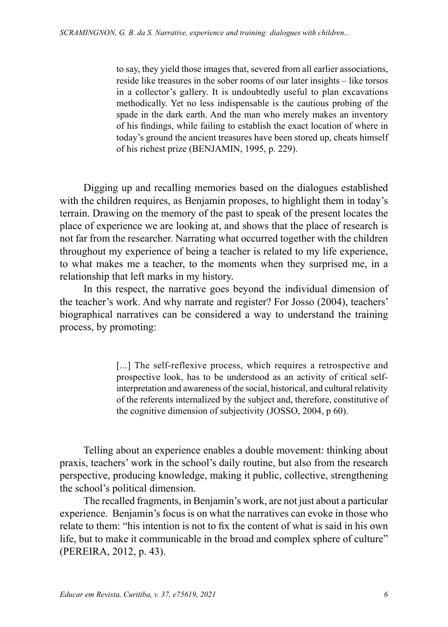to say, they yield those images that, severed from all earlier associations, reside like treasures in the sober rooms of our later insights – like torsos in a collector's gallery. It is undoubtedly useful to plan excavations methodically. Yet no less indispensable is the cautious probing of the spade in the dark earth. And the man who merely makes an inventory of his findings, while failing to establish the exact location of where in today's ground the ancient treasures have been stored up, cheats himself of his richest prize (BENJAMIN, 1995, p. 229).

Digging up and recalling memories based on the dialogues established with the children requires, as Benjamin proposes, to highlight them in today's terrain. Drawing on the memory of the past to speak of the present locates the place of experience we are looking at, and shows that the place of research is not far from the researcher. Narrating what occurred together with the children throughout my experience of being a teacher is related to my life experience, to what makes me a teacher, to the moments when they surprised me, in a relationship that left marks in my history.

In this respect, the narrative goes beyond the individual dimension of the teacher's work. And why narrate and register? For Josso (2004), teachers' biographical narratives can be considered a way to understand the training process, by promoting:

> [...] The self-reflexive process, which requires a retrospective and prospective look, has to be understood as an activity of critical selfinterpretation and awareness of the social, historical, and cultural relativity of the referents internalized by the subject and, therefore, constitutive of the cognitive dimension of subjectivity (JOSSO, 2004, p 60).

Telling about an experience enables a double movement: thinking about praxis, teachers' work in the school's daily routine, but also from the research perspective, producing knowledge, making it public, collective, strengthening the school's political dimension.

The recalled fragments, in Benjamin's work, are not just about a particular experience. Benjamin's focus is on what the narratives can evoke in those who relate to them: "his intention is not to fix the content of what is said in his own life, but to make it communicable in the broad and complex sphere of culture" (PEREIRA, 2012, p. 43).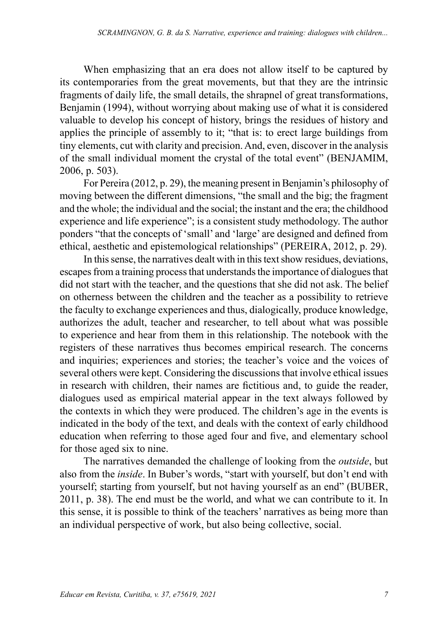When emphasizing that an era does not allow itself to be captured by its contemporaries from the great movements, but that they are the intrinsic fragments of daily life, the small details, the shrapnel of great transformations, Benjamin (1994), without worrying about making use of what it is considered valuable to develop his concept of history, brings the residues of history and applies the principle of assembly to it; "that is: to erect large buildings from tiny elements, cut with clarity and precision. And, even, discover in the analysis of the small individual moment the crystal of the total event" (BENJAMIM, 2006, p. 503).

For Pereira (2012, p. 29), the meaning present in Benjamin's philosophy of moving between the different dimensions, "the small and the big; the fragment and the whole; the individual and the social; the instant and the era; the childhood experience and life experience"; is a consistent study methodology. The author ponders "that the concepts of 'small' and 'large' are designed and defined from ethical, aesthetic and epistemological relationships" (PEREIRA, 2012, p. 29).

In this sense, the narratives dealt with in this text show residues, deviations, escapes from a training process that understands the importance of dialogues that did not start with the teacher, and the questions that she did not ask. The belief on otherness between the children and the teacher as a possibility to retrieve the faculty to exchange experiences and thus, dialogically, produce knowledge, authorizes the adult, teacher and researcher, to tell about what was possible to experience and hear from them in this relationship. The notebook with the registers of these narratives thus becomes empirical research. The concerns and inquiries; experiences and stories; the teacher's voice and the voices of several others were kept. Considering the discussions that involve ethical issues in research with children, their names are fictitious and, to guide the reader, dialogues used as empirical material appear in the text always followed by the contexts in which they were produced. The children's age in the events is indicated in the body of the text, and deals with the context of early childhood education when referring to those aged four and five, and elementary school for those aged six to nine.

The narratives demanded the challenge of looking from the *outside*, but also from the *inside*. In Buber's words, "start with yourself, but don't end with yourself; starting from yourself, but not having yourself as an end" (BUBER, 2011, p. 38). The end must be the world, and what we can contribute to it. In this sense, it is possible to think of the teachers' narratives as being more than an individual perspective of work, but also being collective, social.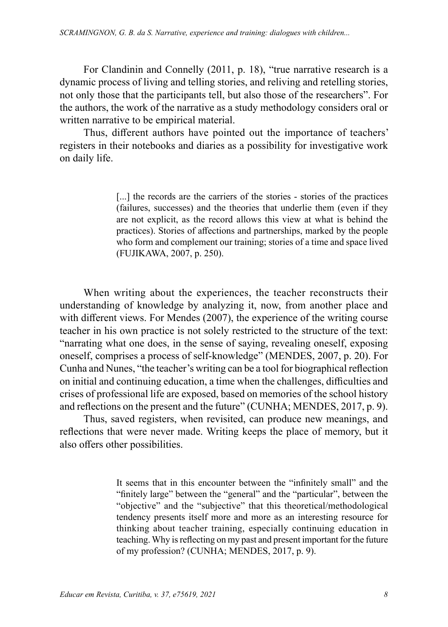For Clandinin and Connelly (2011, p. 18), "true narrative research is a dynamic process of living and telling stories, and reliving and retelling stories, not only those that the participants tell, but also those of the researchers". For the authors, the work of the narrative as a study methodology considers oral or written narrative to be empirical material.

Thus, different authors have pointed out the importance of teachers' registers in their notebooks and diaries as a possibility for investigative work on daily life.

> [...] the records are the carriers of the stories - stories of the practices (failures, successes) and the theories that underlie them (even if they are not explicit, as the record allows this view at what is behind the practices). Stories of affections and partnerships, marked by the people who form and complement our training; stories of a time and space lived (FUJIKAWA, 2007, p. 250).

When writing about the experiences, the teacher reconstructs their understanding of knowledge by analyzing it, now, from another place and with different views. For Mendes (2007), the experience of the writing course teacher in his own practice is not solely restricted to the structure of the text: "narrating what one does, in the sense of saying, revealing oneself, exposing oneself, comprises a process of self-knowledge" (MENDES, 2007, p. 20). For Cunha and Nunes, "the teacher's writing can be a tool for biographical reflection on initial and continuing education, a time when the challenges, difficulties and crises of professional life are exposed, based on memories of the school history and reflections on the present and the future" (CUNHA; MENDES, 2017, p. 9).

Thus, saved registers, when revisited, can produce new meanings, and reflections that were never made. Writing keeps the place of memory, but it also offers other possibilities.

> It seems that in this encounter between the "infinitely small" and the "finitely large" between the "general" and the "particular", between the "objective" and the "subjective" that this theoretical/methodological tendency presents itself more and more as an interesting resource for thinking about teacher training, especially continuing education in teaching. Why is reflecting on my past and present important for the future of my profession? (CUNHA; MENDES, 2017, p. 9).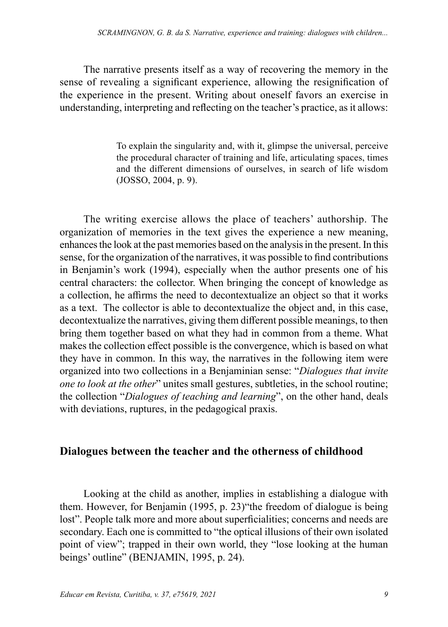The narrative presents itself as a way of recovering the memory in the sense of revealing a significant experience, allowing the resignification of the experience in the present. Writing about oneself favors an exercise in understanding, interpreting and reflecting on the teacher's practice, as it allows:

> To explain the singularity and, with it, glimpse the universal, perceive the procedural character of training and life, articulating spaces, times and the different dimensions of ourselves, in search of life wisdom (JOSSO, 2004, p. 9).

The writing exercise allows the place of teachers' authorship. The organization of memories in the text gives the experience a new meaning, enhances the look at the past memories based on the analysis in the present. In this sense, for the organization of the narratives, it was possible to find contributions in Benjamin's work (1994), especially when the author presents one of his central characters: the collector. When bringing the concept of knowledge as a collection, he affirms the need to decontextualize an object so that it works as a text. The collector is able to decontextualize the object and, in this case, decontextualize the narratives, giving them different possible meanings, to then bring them together based on what they had in common from a theme. What makes the collection effect possible is the convergence, which is based on what they have in common. In this way, the narratives in the following item were organized into two collections in a Benjaminian sense: "*Dialogues that invite one to look at the other*" unites small gestures, subtleties, in the school routine; the collection "*Dialogues of teaching and learning*", on the other hand, deals with deviations, ruptures, in the pedagogical praxis.

#### **Dialogues between the teacher and the otherness of childhood**

Looking at the child as another, implies in establishing a dialogue with them. However, for Benjamin (1995, p. 23)"the freedom of dialogue is being lost". People talk more and more about superficialities; concerns and needs are secondary. Each one is committed to "the optical illusions of their own isolated point of view"; trapped in their own world, they "lose looking at the human beings' outline" (BENJAMIN, 1995, p. 24).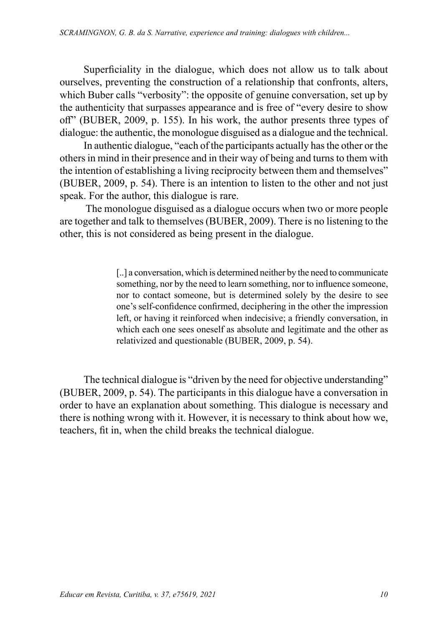Superficiality in the dialogue, which does not allow us to talk about ourselves, preventing the construction of a relationship that confronts, alters, which Buber calls "verbosity": the opposite of genuine conversation, set up by the authenticity that surpasses appearance and is free of "every desire to show off" (BUBER, 2009, p. 155). In his work, the author presents three types of dialogue: the authentic, the monologue disguised as a dialogue and the technical.

In authentic dialogue, "each of the participants actually has the other or the others in mind in their presence and in their way of being and turns to them with the intention of establishing a living reciprocity between them and themselves" (BUBER, 2009, p. 54). There is an intention to listen to the other and not just speak. For the author, this dialogue is rare.

 The monologue disguised as a dialogue occurs when two or more people are together and talk to themselves (BUBER, 2009). There is no listening to the other, this is not considered as being present in the dialogue.

> [..] a conversation, which is determined neither by the need to communicate something, nor by the need to learn something, nor to influence someone, nor to contact someone, but is determined solely by the desire to see one's self-confidence confirmed, deciphering in the other the impression left, or having it reinforced when indecisive; a friendly conversation, in which each one sees oneself as absolute and legitimate and the other as relativized and questionable (BUBER, 2009, p. 54).

The technical dialogue is "driven by the need for objective understanding" (BUBER, 2009, p. 54). The participants in this dialogue have a conversation in order to have an explanation about something. This dialogue is necessary and there is nothing wrong with it. However, it is necessary to think about how we, teachers, fit in, when the child breaks the technical dialogue.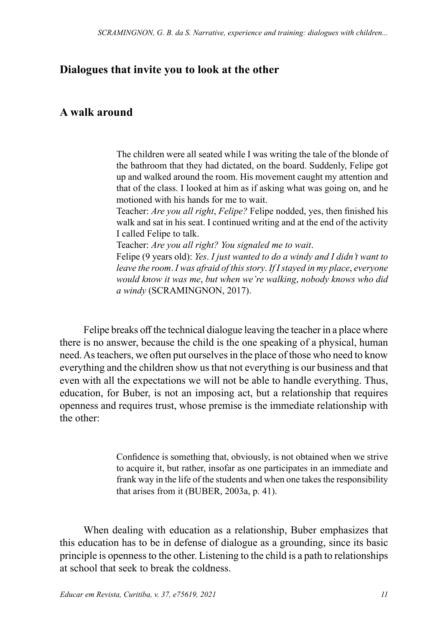# **Dialogues that invite you to look at the other**

#### **A walk around**

The children were all seated while I was writing the tale of the blonde of the bathroom that they had dictated, on the board. Suddenly, Felipe got up and walked around the room. His movement caught my attention and that of the class. I looked at him as if asking what was going on, and he motioned with his hands for me to wait.

Teacher: *Are you all right*, *Felipe?* Felipe nodded, yes, then finished his walk and sat in his seat. I continued writing and at the end of the activity I called Felipe to talk.

Teacher: *Are you all right? You signaled me to wait*.

Felipe (9 years old): *Yes*. *I just wanted to do a windy and I didn't want to leave the room*. *I was afraid of this story*. *If I stayed in my place*, *everyone would know it was me*, *but when we're walking*, *nobody knows who did a windy* (SCRAMINGNON, 2017).

Felipe breaks off the technical dialogue leaving the teacher in a place where there is no answer, because the child is the one speaking of a physical, human need. As teachers, we often put ourselves in the place of those who need to know everything and the children show us that not everything is our business and that even with all the expectations we will not be able to handle everything. Thus, education, for Buber, is not an imposing act, but a relationship that requires openness and requires trust, whose premise is the immediate relationship with the other:

> Confidence is something that, obviously, is not obtained when we strive to acquire it, but rather, insofar as one participates in an immediate and frank way in the life of the students and when one takes the responsibility that arises from it (BUBER, 2003a, p. 41).

When dealing with education as a relationship, Buber emphasizes that this education has to be in defense of dialogue as a grounding, since its basic principle is openness to the other. Listening to the child is a path to relationships at school that seek to break the coldness.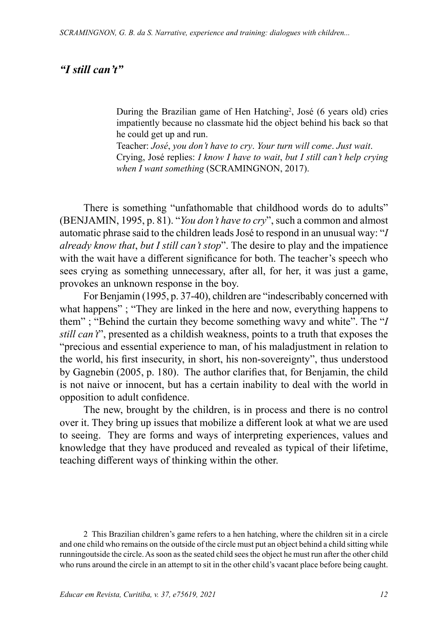# *"I still can't"*

During the Brazilian game of Hen Hatching<sup>2</sup>, José (6 years old) cries impatiently because no classmate hid the object behind his back so that he could get up and run.

Teacher: *José*, *you don't have to cry*. *Your turn will come*. *Just wait*. Crying, José replies: *I know I have to wait*, *but I still can't help crying when I want something* (SCRAMINGNON, 2017).

There is something "unfathomable that childhood words do to adults" (BENJAMIN, 1995, p. 81). "*You don't have to cry*", such a common and almost automatic phrase said to the children leads José to respond in an unusual way: "*I already know that*, *but I still can't stop*". The desire to play and the impatience with the wait have a different significance for both. The teacher's speech who sees crying as something unnecessary, after all, for her, it was just a game, provokes an unknown response in the boy.

For Benjamin (1995, p. 37-40), children are "indescribably concerned with what happens" ; "They are linked in the here and now, everything happens to them" ; "Behind the curtain they become something wavy and white". The "*I still can't*", presented as a childish weakness, points to a truth that exposes the "precious and essential experience to man, of his maladjustment in relation to the world, his first insecurity, in short, his non-sovereignty", thus understood by Gagnebin (2005, p. 180). The author clarifies that, for Benjamin, the child is not naive or innocent, but has a certain inability to deal with the world in opposition to adult confidence.

The new, brought by the children, is in process and there is no control over it. They bring up issues that mobilize a different look at what we are used to seeing. They are forms and ways of interpreting experiences, values and knowledge that they have produced and revealed as typical of their lifetime, teaching different ways of thinking within the other.

2 This Brazilian children's game refers to a hen hatching, where the children sit in a circle and one child who remains on the outside of the circle must put an object behind a child sitting while runningoutside the circle. As soon as the seated child sees the object he must run after the other child who runs around the circle in an attempt to sit in the other child's vacant place before being caught.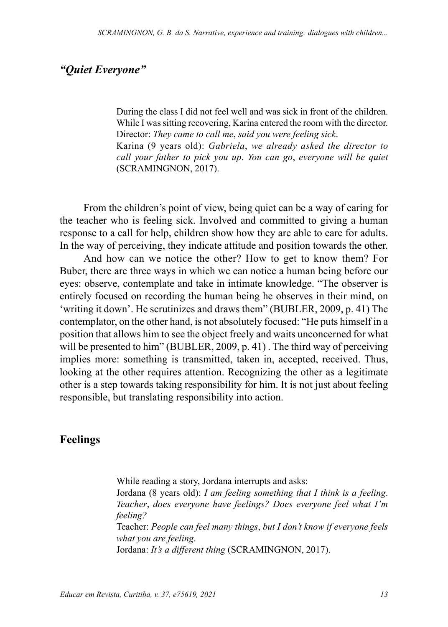# *"Quiet Everyone"*

During the class I did not feel well and was sick in front of the children. While I was sitting recovering, Karina entered the room with the director. Director: *They came to call me*, *said you were feeling sick*. Karina (9 years old): *Gabriela*, *we already asked the director to call your father to pick you up*. *You can go*, *everyone will be quiet* (SCRAMINGNON, 2017).

From the children's point of view, being quiet can be a way of caring for the teacher who is feeling sick. Involved and committed to giving a human response to a call for help, children show how they are able to care for adults. In the way of perceiving, they indicate attitude and position towards the other.

And how can we notice the other? How to get to know them? For Buber, there are three ways in which we can notice a human being before our eyes: observe, contemplate and take in intimate knowledge. "The observer is entirely focused on recording the human being he observes in their mind, on 'writing it down'. He scrutinizes and draws them" (BUBLER, 2009, p. 41) The contemplator, on the other hand, is not absolutely focused: "He puts himself in a position that allows him to see the object freely and waits unconcerned for what will be presented to him" (BUBLER, 2009, p. 41). The third way of perceiving implies more: something is transmitted, taken in, accepted, received. Thus, looking at the other requires attention. Recognizing the other as a legitimate other is a step towards taking responsibility for him. It is not just about feeling responsible, but translating responsibility into action.

#### **Feelings**

While reading a story, Jordana interrupts and asks: Jordana (8 years old): *I am feeling something that I think is a feeling*. *Teacher*, *does everyone have feelings? Does everyone feel what I'm feeling?* Teacher: *People can feel many things*, *but I don't know if everyone feels what you are feeling*. Jordana: *It's a different thing* (SCRAMINGNON, 2017).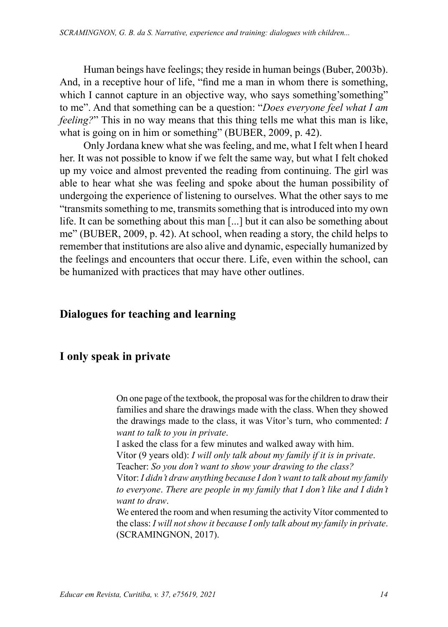Human beings have feelings; they reside in human beings (Buber, 2003b). And, in a receptive hour of life, "find me a man in whom there is something, which I cannot capture in an objective way, who says something's something" to me". And that something can be a question: "*Does everyone feel what I am feeling?*" This in no way means that this thing tells me what this man is like, what is going on in him or something" (BUBER, 2009, p. 42).

Only Jordana knew what she was feeling, and me, what I felt when I heard her. It was not possible to know if we felt the same way, but what I felt choked up my voice and almost prevented the reading from continuing. The girl was able to hear what she was feeling and spoke about the human possibility of undergoing the experience of listening to ourselves. What the other says to me "transmits something to me, transmits something that is introduced into my own life. It can be something about this man [...] but it can also be something about me" (BUBER, 2009, p. 42). At school, when reading a story, the child helps to remember that institutions are also alive and dynamic, especially humanized by the feelings and encounters that occur there. Life, even within the school, can be humanized with practices that may have other outlines.

# **Dialogues for teaching and learning**

## **I only speak in private**

On one page of the textbook, the proposal was for the children to draw their families and share the drawings made with the class. When they showed the drawings made to the class, it was Vítor's turn, who commented: *I want to talk to you in private*.

I asked the class for a few minutes and walked away with him. Vítor (9 years old): *I will only talk about my family if it is in private*. Teacher: *So you don't want to show your drawing to the class?*

Vítor: *I didn't draw anything because I don't want to talk about my family to everyone*. *There are people in my family that I don't like and I didn't want to draw*.

We entered the room and when resuming the activity Vítor commented to the class: *I will not show it because I only talk about my family in private*. (SCRAMINGNON, 2017).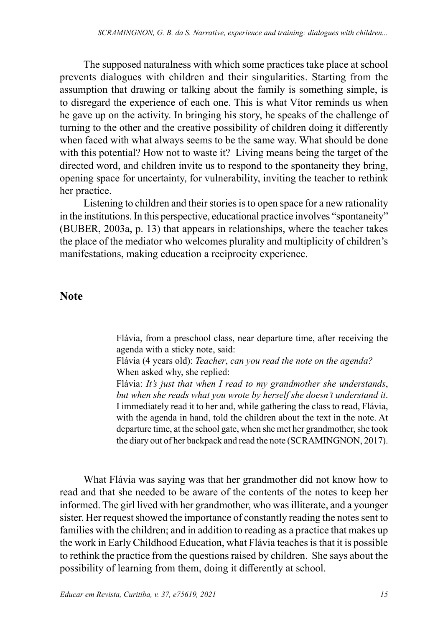The supposed naturalness with which some practices take place at school prevents dialogues with children and their singularities. Starting from the assumption that drawing or talking about the family is something simple, is to disregard the experience of each one. This is what Vítor reminds us when he gave up on the activity. In bringing his story, he speaks of the challenge of turning to the other and the creative possibility of children doing it differently when faced with what always seems to be the same way. What should be done with this potential? How not to waste it? Living means being the target of the directed word, and children invite us to respond to the spontaneity they bring, opening space for uncertainty, for vulnerability, inviting the teacher to rethink her practice.

Listening to children and their stories is to open space for a new rationality in the institutions. In this perspective, educational practice involves "spontaneity" (BUBER, 2003a, p. 13) that appears in relationships, where the teacher takes the place of the mediator who welcomes plurality and multiplicity of children's manifestations, making education a reciprocity experience.

#### **Note**

Flávia, from a preschool class, near departure time, after receiving the agenda with a sticky note, said:

Flávia (4 years old): *Teacher*, *can you read the note on the agenda?* When asked why, she replied:

Flávia: *It's just that when I read to my grandmother she understands*, *but when she reads what you wrote by herself she doesn't understand it*. I immediately read it to her and, while gathering the class to read, Flávia, with the agenda in hand, told the children about the text in the note. At departure time, at the school gate, when she met her grandmother, she took the diary out of her backpack and read the note (SCRAMINGNON, 2017).

What Flávia was saying was that her grandmother did not know how to read and that she needed to be aware of the contents of the notes to keep her informed. The girl lived with her grandmother, who was illiterate, and a younger sister. Her request showed the importance of constantly reading the notes sent to families with the children; and in addition to reading as a practice that makes up the work in Early Childhood Education, what Flávia teaches is that it is possible to rethink the practice from the questions raised by children. She says about the possibility of learning from them, doing it differently at school.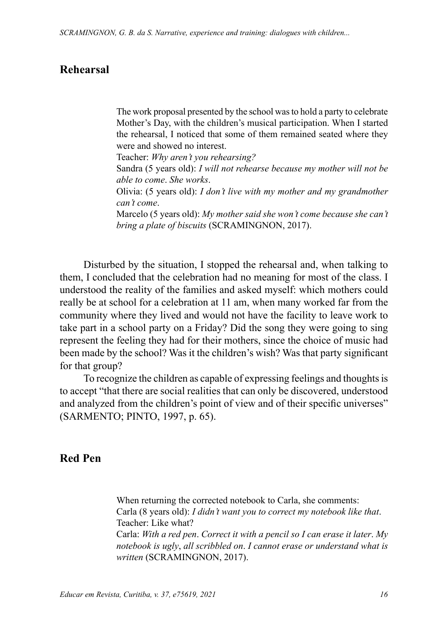## **Rehearsal**

The work proposal presented by the school was to hold a party to celebrate Mother's Day, with the children's musical participation. When I started the rehearsal, I noticed that some of them remained seated where they were and showed no interest.

Teacher: *Why aren't you rehearsing?*

Sandra (5 years old): *I will not rehearse because my mother will not be able to come*. *She works*.

Olivia: (5 years old): *I don't live with my mother and my grandmother can't come*.

Marcelo (5 years old): *My mother said she won't come because she can't bring a plate of biscuits* (SCRAMINGNON, 2017).

Disturbed by the situation, I stopped the rehearsal and, when talking to them, I concluded that the celebration had no meaning for most of the class. I understood the reality of the families and asked myself: which mothers could really be at school for a celebration at 11 am, when many worked far from the community where they lived and would not have the facility to leave work to take part in a school party on a Friday? Did the song they were going to sing represent the feeling they had for their mothers, since the choice of music had been made by the school? Was it the children's wish? Was that party significant for that group?

To recognize the children as capable of expressing feelings and thoughts is to accept "that there are social realities that can only be discovered, understood and analyzed from the children's point of view and of their specific universes" (SARMENTO; PINTO, 1997, p. 65).

#### **Red Pen**

When returning the corrected notebook to Carla, she comments: Carla (8 years old): *I didn't want you to correct my notebook like that*. Teacher: Like what? Carla: *With a red pen*. *Correct it with a pencil so I can erase it later*. *My notebook is ugly*, *all scribbled on*. *I cannot erase or understand what is written* (SCRAMINGNON, 2017).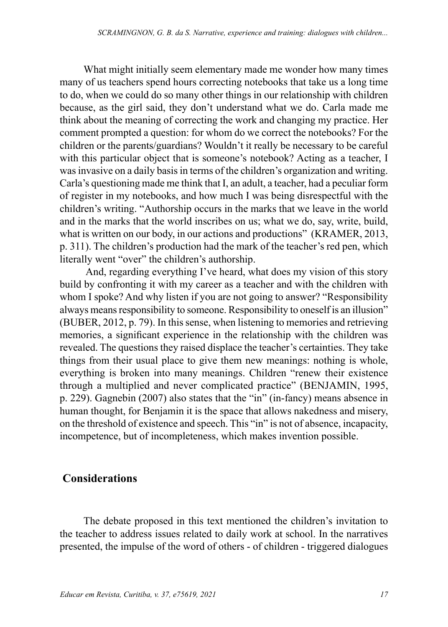What might initially seem elementary made me wonder how many times many of us teachers spend hours correcting notebooks that take us a long time to do, when we could do so many other things in our relationship with children because, as the girl said, they don't understand what we do. Carla made me think about the meaning of correcting the work and changing my practice. Her comment prompted a question: for whom do we correct the notebooks? For the children or the parents/guardians? Wouldn't it really be necessary to be careful with this particular object that is someone's notebook? Acting as a teacher, I was invasive on a daily basis in terms of the children's organization and writing. Carla's questioning made me think that I, an adult, a teacher, had a peculiar form of register in my notebooks, and how much I was being disrespectful with the children's writing. "Authorship occurs in the marks that we leave in the world and in the marks that the world inscribes on us; what we do, say, write, build, what is written on our body, in our actions and productions" (KRAMER, 2013, p. 311). The children's production had the mark of the teacher's red pen, which literally went "over" the children's authorship.

 And, regarding everything I've heard, what does my vision of this story build by confronting it with my career as a teacher and with the children with whom I spoke? And why listen if you are not going to answer? "Responsibility always means responsibility to someone. Responsibility to oneself is an illusion" (BUBER, 2012, p. 79). In this sense, when listening to memories and retrieving memories, a significant experience in the relationship with the children was revealed. The questions they raised displace the teacher's certainties. They take things from their usual place to give them new meanings: nothing is whole, everything is broken into many meanings. Children "renew their existence through a multiplied and never complicated practice" (BENJAMIN, 1995, p. 229). Gagnebin (2007) also states that the "in" (in-fancy) means absence in human thought, for Benjamin it is the space that allows nakedness and misery, on the threshold of existence and speech. This "in" is not of absence, incapacity, incompetence, but of incompleteness, which makes invention possible.

## **Considerations**

The debate proposed in this text mentioned the children's invitation to the teacher to address issues related to daily work at school. In the narratives presented, the impulse of the word of others - of children - triggered dialogues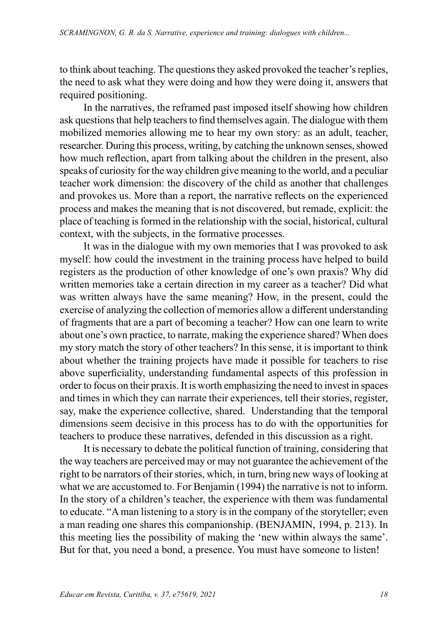to think about teaching. The questions they asked provoked the teacher's replies, the need to ask what they were doing and how they were doing it, answers that required positioning.

In the narratives, the reframed past imposed itself showing how children ask questions that help teachers to find themselves again. The dialogue with them mobilized memories allowing me to hear my own story: as an adult, teacher, researcher. During this process, writing, by catching the unknown senses, showed how much reflection, apart from talking about the children in the present, also speaks of curiosity for the way children give meaning to the world, and a peculiar teacher work dimension: the discovery of the child as another that challenges and provokes us. More than a report, the narrative reflects on the experienced process and makes the meaning that is not discovered, but remade, explicit: the place of teaching is formed in the relationship with the social, historical, cultural context, with the subjects, in the formative processes.

It was in the dialogue with my own memories that I was provoked to ask myself: how could the investment in the training process have helped to build registers as the production of other knowledge of one's own praxis? Why did written memories take a certain direction in my career as a teacher? Did what was written always have the same meaning? How, in the present, could the exercise of analyzing the collection of memories allow a different understanding of fragments that are a part of becoming a teacher? How can one learn to write about one's own practice, to narrate, making the experience shared? When does my story match the story of other teachers? In this sense, it is important to think about whether the training projects have made it possible for teachers to rise above superficiality, understanding fundamental aspects of this profession in order to focus on their praxis. It is worth emphasizing the need to invest in spaces and times in which they can narrate their experiences, tell their stories, register, say, make the experience collective, shared. Understanding that the temporal dimensions seem decisive in this process has to do with the opportunities for teachers to produce these narratives, defended in this discussion as a right.

It is necessary to debate the political function of training, considering that the way teachers are perceived may or may not guarantee the achievement of the right to be narrators of their stories, which, in turn, bring new ways of looking at what we are accustomed to. For Benjamin (1994) the narrative is not to inform. In the story of a children's teacher, the experience with them was fundamental to educate. "A man listening to a story is in the company of the storyteller; even a man reading one shares this companionship. (BENJAMIN, 1994, p. 213). In this meeting lies the possibility of making the 'new within always the same'. But for that, you need a bond, a presence. You must have someone to listen!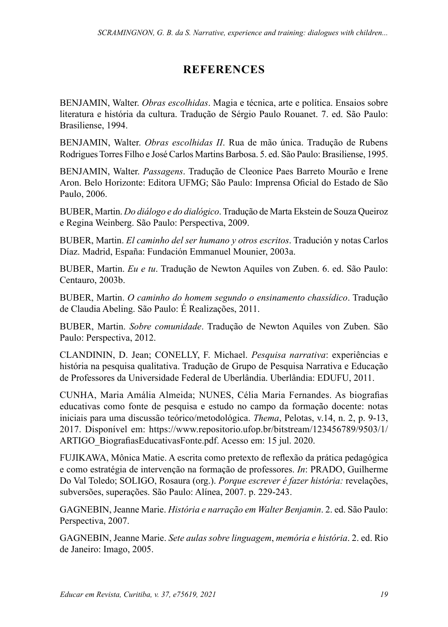# **REFERENCES**

BENJAMIN, Walter. *Obras escolhidas*. Magia e técnica, arte e política. Ensaios sobre literatura e história da cultura. Tradução de Sérgio Paulo Rouanet. 7. ed. São Paulo: Brasiliense, 1994.

BENJAMIN, Walter. *Obras escolhidas II*. Rua de mão única. Tradução de Rubens Rodrigues Torres Filho e José Carlos Martins Barbosa. 5. ed. São Paulo: Brasiliense, 1995.

BENJAMIN, Walter. *Passagens*. Tradução de Cleonice Paes Barreto Mourão e Irene Aron. Belo Horizonte: Editora UFMG; São Paulo: Imprensa Oficial do Estado de São Paulo, 2006.

BUBER, Martin. *Do diálogo e do dialógico*. Tradução de Marta Ekstein de Souza Queiroz e Regina Weinberg. São Paulo: Perspectiva, 2009.

BUBER, Martin. *El caminho del ser humano y otros escritos*. Tradución y notas Carlos Díaz. Madrid, España: Fundación Emmanuel Mounier, 2003a.

BUBER, Martin. *Eu e tu*. Tradução de Newton Aquiles von Zuben. 6. ed. São Paulo: Centauro, 2003b.

BUBER, Martin. *O caminho do homem segundo o ensinamento chassídico*. Tradução de Claudia Abeling. São Paulo: É Realizações, 2011.

BUBER, Martin. *Sobre comunidade*. Tradução de Newton Aquiles von Zuben. São Paulo: Perspectiva, 2012.

CLANDININ, D. Jean; CONELLY, F. Michael. *Pesquisa narrativa*: experiências e história na pesquisa qualitativa. Tradução de Grupo de Pesquisa Narrativa e Educação de Professores da Universidade Federal de Uberlândia. Uberlândia: EDUFU, 2011.

CUNHA, Maria Amália Almeida; NUNES, Célia Maria Fernandes. As biografias educativas como fonte de pesquisa e estudo no campo da formação docente: notas iniciais para uma discussão teórico/metodológica. *Thema*, Pelotas, v.14, n. 2, p. 9-13, 2017. Disponível em: [https://www.repositorio.ufop.br/bitstream/123456789/9503/1/](https://www.repositorio.ufop.br/bitstream/123456789/9503/1/ARTIGO_BiografiasEducativasFonte.pdf) [ARTIGO\\_BiografiasEducativasFonte.pdf](https://www.repositorio.ufop.br/bitstream/123456789/9503/1/ARTIGO_BiografiasEducativasFonte.pdf). Acesso em: 15 jul. 2020.

FUJIKAWA, Mônica Matie. A escrita como pretexto de reflexão da prática pedagógica e como estratégia de intervenção na formação de professores. *In*: PRADO, Guilherme Do Val Toledo; SOLIGO, Rosaura (org.). *Porque escrever é fazer história:* revelações, subversões, superações. São Paulo: Alínea, 2007. p. 229-243.

GAGNEBIN, Jeanne Marie. *História e narração em Walter Benjamin*. 2. ed. São Paulo: Perspectiva, 2007.

GAGNEBIN, Jeanne Marie. *Sete aulas sobre linguagem*, *memória e história*. 2. ed. Rio de Janeiro: Imago, 2005.